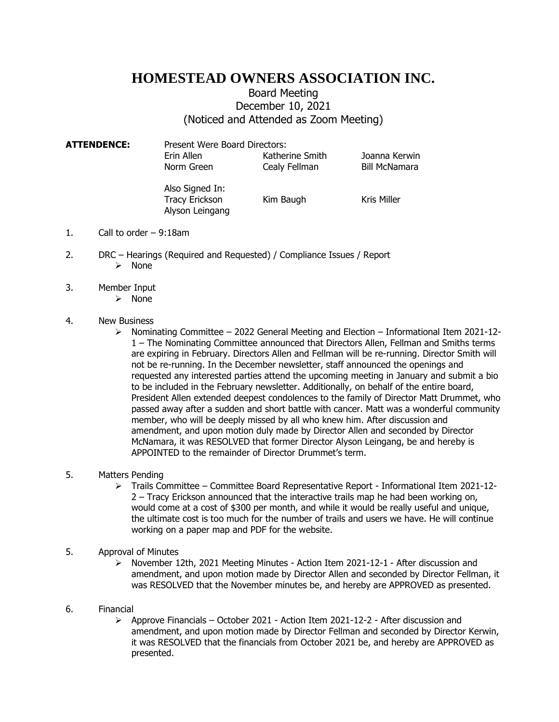# **HOMESTEAD OWNERS ASSOCIATION INC.**

## Board Meeting December 10, 2021 (Noticed and Attended as Zoom Meeting)

**ATTENDENCE:** Present Were Board Directors: Erin Allen Katherine Smith Joanna Kerwin Norm Green Cealy Fellman Bill McNamara

> Also Signed In: Tracy Erickson Kim Baugh Kris Miller Alyson Leingang

- 1. Call to order 9:18am
- 2. DRC Hearings (Required and Requested) / Compliance Issues / Report ➢ None
- 3. Member Input
	- ➢ None

### 4. New Business

 $\triangleright$  Nominating Committee – 2022 General Meeting and Election – Informational Item 2021-12-1 – The Nominating Committee announced that Directors Allen, Fellman and Smiths terms are expiring in February. Directors Allen and Fellman will be re-running. Director Smith will not be re-running. In the December newsletter, staff announced the openings and requested any interested parties attend the upcoming meeting in January and submit a bio to be included in the February newsletter. Additionally, on behalf of the entire board, President Allen extended deepest condolences to the family of Director Matt Drummet, who passed away after a sudden and short battle with cancer. Matt was a wonderful community member, who will be deeply missed by all who knew him. After discussion and amendment, and upon motion duly made by Director Allen and seconded by Director McNamara, it was RESOLVED that former Director Alyson Leingang, be and hereby is APPOINTED to the remainder of Director Drummet's term.

#### 5. Matters Pending

- ➢ Trails Committee Committee Board Representative Report Informational Item 2021-12- 2 – Tracy Erickson announced that the interactive trails map he had been working on, would come at a cost of \$300 per month, and while it would be really useful and unique, the ultimate cost is too much for the number of trails and users we have. He will continue working on a paper map and PDF for the website.
- 5. Approval of Minutes
	- ➢ November 12th, 2021 Meeting Minutes Action Item 2021-12-1 After discussion and amendment, and upon motion made by Director Allen and seconded by Director Fellman, it was RESOLVED that the November minutes be, and hereby are APPROVED as presented.

#### 6. Financial

 $\triangleright$  Approve Financials – October 2021 - Action Item 2021-12-2 - After discussion and amendment, and upon motion made by Director Fellman and seconded by Director Kerwin, it was RESOLVED that the financials from October 2021 be, and hereby are APPROVED as presented.